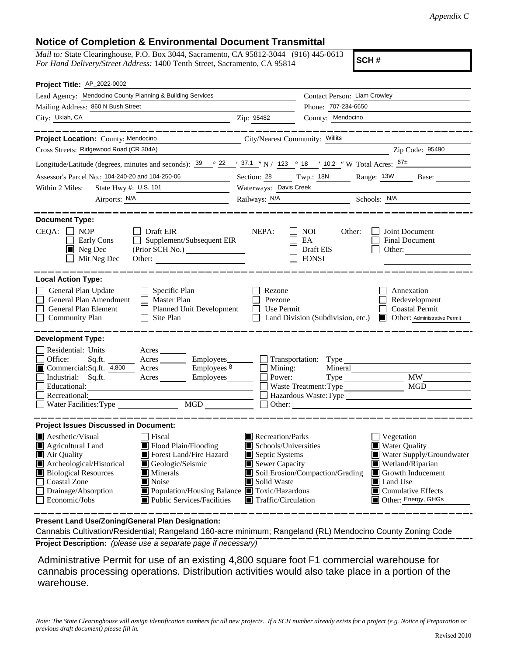## **Notice of Completion & Environmental Document Transmittal**

*Mail to:* State Clearinghouse, P.O. Box 3044, Sacramento, CA 95812-3044 (916) 445-0613 *For Hand Delivery/Street Address:* 1400 Tenth Street, Sacramento, CA 95814

**SCH #**

| Project Title: AP_2022-0002                                                                                                                                                                                                                                                                                                                                                                                                    |                                                                                                                                   |                                                                                                                                                                                                                             |  |
|--------------------------------------------------------------------------------------------------------------------------------------------------------------------------------------------------------------------------------------------------------------------------------------------------------------------------------------------------------------------------------------------------------------------------------|-----------------------------------------------------------------------------------------------------------------------------------|-----------------------------------------------------------------------------------------------------------------------------------------------------------------------------------------------------------------------------|--|
| Lead Agency: Mendocino County Planning & Building Services                                                                                                                                                                                                                                                                                                                                                                     |                                                                                                                                   | Contact Person: Liam Crowley                                                                                                                                                                                                |  |
| Mailing Address: 860 N Bush Street                                                                                                                                                                                                                                                                                                                                                                                             |                                                                                                                                   | Phone: 707-234-6650                                                                                                                                                                                                         |  |
| City: Ukiah, CA                                                                                                                                                                                                                                                                                                                                                                                                                | Zip: 95482                                                                                                                        | County: Mendocino                                                                                                                                                                                                           |  |
|                                                                                                                                                                                                                                                                                                                                                                                                                                |                                                                                                                                   |                                                                                                                                                                                                                             |  |
| Project Location: County: Mendocino                                                                                                                                                                                                                                                                                                                                                                                            | City/Nearest Community: Willits                                                                                                   |                                                                                                                                                                                                                             |  |
| Cross Streets: Ridgewood Road (CR 304A)                                                                                                                                                                                                                                                                                                                                                                                        |                                                                                                                                   | Zip Code: 95490                                                                                                                                                                                                             |  |
| Longitude/Latitude (degrees, minutes and seconds): $\frac{39}{22}$ $\frac{22}{37.1}$ N / 123 ° 18 ' 10.2 " W Total Acres: $\frac{67\pm}{107}$                                                                                                                                                                                                                                                                                  |                                                                                                                                   |                                                                                                                                                                                                                             |  |
| Assessor's Parcel No.: 104-240-20 and 104-250-06                                                                                                                                                                                                                                                                                                                                                                               | Section: 28                                                                                                                       | Twp.: 18N<br>Range: 13W Base:                                                                                                                                                                                               |  |
| State Hwy #: U.S. 101<br>Within 2 Miles:                                                                                                                                                                                                                                                                                                                                                                                       | Waterways: Davis Creek                                                                                                            |                                                                                                                                                                                                                             |  |
|                                                                                                                                                                                                                                                                                                                                                                                                                                |                                                                                                                                   | Railways: N/A Schools: N/A                                                                                                                                                                                                  |  |
| <b>Document Type:</b><br>$CEQA: \Box NP$<br>Draft EIR<br>$\Box$ Supplement/Subsequent EIR<br>Early Cons<br>$\blacksquare$ Neg Dec<br>(Prior SCH No.)<br>Mit Neg Dec                                                                                                                                                                                                                                                            | NEPA:                                                                                                                             | NOI<br>Other:<br>Joint Document<br>EA<br><b>Final Document</b><br>Draft EIS<br>Other:<br><b>FONSI</b>                                                                                                                       |  |
| <b>Local Action Type:</b>                                                                                                                                                                                                                                                                                                                                                                                                      |                                                                                                                                   |                                                                                                                                                                                                                             |  |
| General Plan Update<br>Specific Plan<br>$\perp$<br>General Plan Amendment<br><b>Master Plan</b><br>General Plan Element<br>$\Box$<br><b>Planned Unit Development</b><br>Site Plan<br><b>Community Plan</b>                                                                                                                                                                                                                     | Rezone<br>Prezone<br>Use Permit                                                                                                   | Annexation<br>Redevelopment<br><b>Coastal Permit</b><br>Land Division (Subdivision, etc.)<br>Other: Administrative Permit                                                                                                   |  |
| <b>Development Type:</b><br>Residential: Units Acres<br>Office:<br>Employees_<br>Commercial:Sq.ft. 4,800 Acres Employees 8<br>Industrial: Sq.ft. Acres Employees<br>Educational:<br>Recreational:<br>Necreational:<br>Nater Facilities:Type  MGD                                                                                                                                                                               | Mining:<br>Power:                                                                                                                 | Transportation: Type<br>Mineral<br><b>MW</b><br>Type<br>MGD<br>Waste Treatment: Type<br>Hazardous Waste: Type<br>Other:                                                                                                     |  |
| <b>Project Issues Discussed in Document:</b>                                                                                                                                                                                                                                                                                                                                                                                   |                                                                                                                                   |                                                                                                                                                                                                                             |  |
| <b>A</b> esthetic/Visual<br>Fiscal<br>Agricultural Land<br>Flood Plain/Flooding<br>Forest Land/Fire Hazard<br>Air Quality<br>Archeological/Historical<br>Geologic/Seismic<br><b>Biological Resources</b><br>$\blacksquare$ Minerals<br><b>Coastal Zone</b><br>$\blacksquare$ Noise<br>Drainage/Absorption<br>Population/Housing Balance Toxic/Hazardous<br>$\Box$<br>Economic/Jobs<br> ■ Public Services/Facilities<br>$\perp$ | Recreation/Parks<br>Schools/Universities<br>Septic Systems<br>Sewer Capacity<br>Solid Waste<br>$\blacksquare$ Traffic/Circulation | $\Box$ Vegetation<br>Water Quality<br>Water Supply/Groundwater<br>Wetland/Riparian<br>Soil Erosion/Compaction/Grading<br>Growth Inducement<br><b>I</b> Land Use<br>$\blacksquare$ Cumulative Effects<br>Other: Energy, GHGs |  |

**Present Land Use/Zoning/General Plan Designation:**

**Project Description:** *(please use a separate page if necessary)* Cannabis Cultivation/Residential; Rangeland 160-acre minimum; Rangeland (RL) Mendocino County Zoning Code

 Administrative Permit for use of an existing 4,800 square foot F1 commercial warehouse for cannabis processing operations. Distribution activities would also take place in a portion of the warehouse.